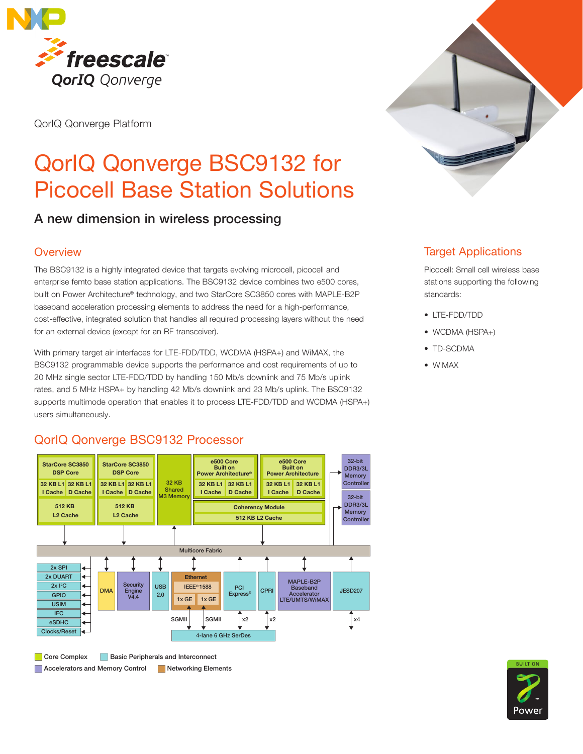

QorIQ Qonverge Platform

# QorIQ Qonverge BSC9132 for Picocell Base Station Solutions

## A new dimension in wireless processing

#### **Overview**

The BSC9132 is a highly integrated device that targets evolving microcell, picocell and enterprise femto base station applications. The BSC9132 device combines two e500 cores, built on Power Architecture® technology, and two StarCore SC3850 cores with MAPLE-B2P baseband acceleration processing elements to address the need for a high-performance, cost-effective, integrated solution that handles all required processing layers without the need for an external device (except for an RF transceiver).

With primary target air interfaces for LTE-FDD/TDD, WCDMA (HSPA+) and WiMAX, the BSC9132 programmable device supports the performance and cost requirements of up to 20 MHz single sector LTE-FDD/TDD by handling 150 Mb/s downlink and 75 Mb/s uplink rates, and 5 MHz HSPA+ by handling 42 Mb/s downlink and 23 Mb/s uplink. The BSC9132 supports multimode operation that enables it to process LTE-FDD/TDD and WCDMA (HSPA+) users simultaneously.

## QorIQ Qonverge BSC9132 Processor QorIQ Qonverge BSC9132 Processor



**Core Complex Basic Peripherals and Interconnect** Accelerators and Memory Control Networking Elements



#### Target Applications

Picocell: Small cell wireless base stations supporting the following standards:

- • LTE-FDD/TDD
- WCDMA (HSPA+)
- TD-SCDMA
- • WiMAX